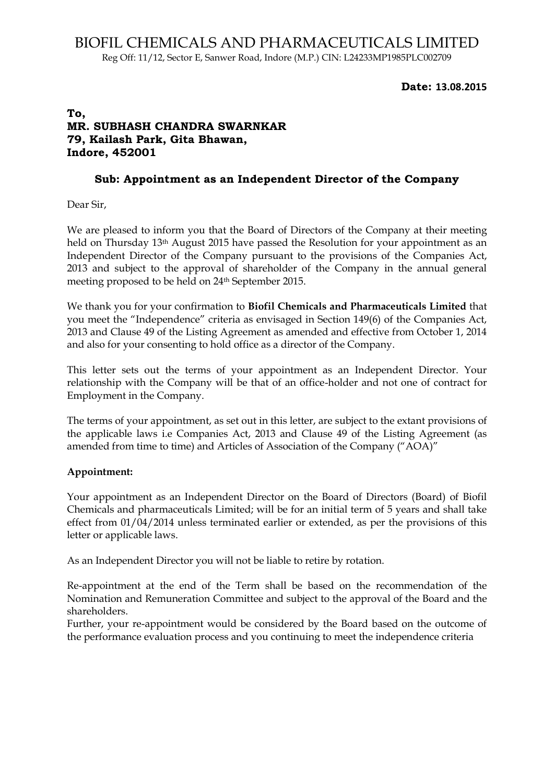### **Date: 13.08.2015**

# **To, MR. SUBHASH CHANDRA SWARNKAR 79, Kailash Park, Gita Bhawan, Indore, 452001**

# **Sub: Appointment as an Independent Director of the Company**

Dear Sir,

We are pleased to inform you that the Board of Directors of the Company at their meeting held on Thursday 13<sup>th</sup> August 2015 have passed the Resolution for your appointment as an Independent Director of the Company pursuant to the provisions of the Companies Act, 2013 and subject to the approval of shareholder of the Company in the annual general meeting proposed to be held on 24th September 2015.

We thank you for your confirmation to **Biofil Chemicals and Pharmaceuticals Limited** that you meet the "Independence" criteria as envisaged in Section 149(6) of the Companies Act, 2013 and Clause 49 of the Listing Agreement as amended and effective from October 1, 2014 and also for your consenting to hold office as a director of the Company.

This letter sets out the terms of your appointment as an Independent Director. Your relationship with the Company will be that of an office-holder and not one of contract for Employment in the Company.

The terms of your appointment, as set out in this letter, are subject to the extant provisions of the applicable laws i.e Companies Act, 2013 and Clause 49 of the Listing Agreement (as amended from time to time) and Articles of Association of the Company ("AOA)"

# **Appointment:**

Your appointment as an Independent Director on the Board of Directors (Board) of Biofil Chemicals and pharmaceuticals Limited; will be for an initial term of 5 years and shall take effect from 01/04/2014 unless terminated earlier or extended, as per the provisions of this letter or applicable laws.

As an Independent Director you will not be liable to retire by rotation.

Re-appointment at the end of the Term shall be based on the recommendation of the Nomination and Remuneration Committee and subject to the approval of the Board and the shareholders.

Further, your re-appointment would be considered by the Board based on the outcome of the performance evaluation process and you continuing to meet the independence criteria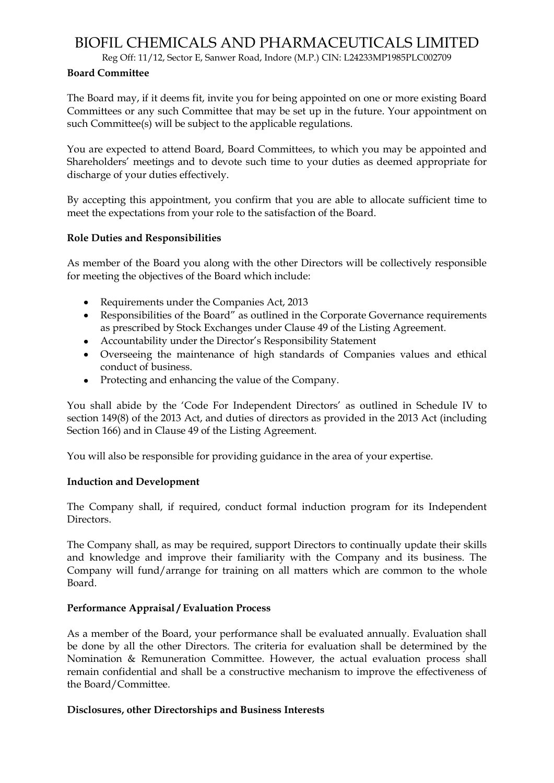# BIOFIL CHEMICALS AND PHARMACEUTICALS LIMITED

Reg Off: 11/12, Sector E, Sanwer Road, Indore (M.P.) CIN: L24233MP1985PLC002709

### **Board Committee**

The Board may, if it deems fit, invite you for being appointed on one or more existing Board Committees or any such Committee that may be set up in the future. Your appointment on such Committee(s) will be subject to the applicable regulations.

You are expected to attend Board, Board Committees, to which you may be appointed and Shareholders" meetings and to devote such time to your duties as deemed appropriate for discharge of your duties effectively.

By accepting this appointment, you confirm that you are able to allocate sufficient time to meet the expectations from your role to the satisfaction of the Board.

### **Role Duties and Responsibilities**

As member of the Board you along with the other Directors will be collectively responsible for meeting the objectives of the Board which include:

- Requirements under the Companies Act, 2013
- Responsibilities of the Board" as outlined in the Corporate Governance requirements as prescribed by Stock Exchanges under Clause 49 of the Listing Agreement.
- Accountability under the Director"s Responsibility Statement
- Overseeing the maintenance of high standards of Companies values and ethical conduct of business.
- Protecting and enhancing the value of the Company.

You shall abide by the 'Code For Independent Directors' as outlined in Schedule IV to section 149(8) of the 2013 Act, and duties of directors as provided in the 2013 Act (including Section 166) and in Clause 49 of the Listing Agreement.

You will also be responsible for providing guidance in the area of your expertise.

# **Induction and Development**

The Company shall, if required, conduct formal induction program for its Independent Directors.

The Company shall, as may be required, support Directors to continually update their skills and knowledge and improve their familiarity with the Company and its business. The Company will fund/arrange for training on all matters which are common to the whole Board.

### **Performance Appraisal / Evaluation Process**

As a member of the Board, your performance shall be evaluated annually. Evaluation shall be done by all the other Directors. The criteria for evaluation shall be determined by the Nomination & Remuneration Committee. However, the actual evaluation process shall remain confidential and shall be a constructive mechanism to improve the effectiveness of the Board/Committee.

### **Disclosures, other Directorships and Business Interests**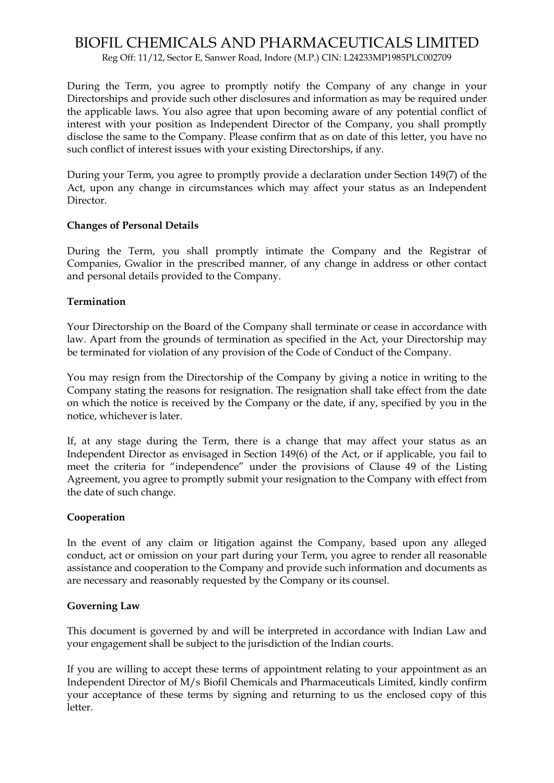# BIOFIL CHEMICALS AND PHARMACEUTICALS LIMITED

Reg Off: 11/12, Sector E, Sanwer Road, Indore (M.P.) CIN: L24233MP1985PLC002709

During the Term, you agree to promptly notify the Company of any change in your Directorships and provide such other disclosures and information as may be required under the applicable laws. You also agree that upon becoming aware of any potential conflict of interest with your position as Independent Director of the Company, you shall promptly disclose the same to the Company. Please confirm that as on date of this letter, you have no such conflict of interest issues with your existing Directorships, if any.

During your Term, you agree to promptly provide a declaration under Section 149(7) of the Act, upon any change in circumstances which may affect your status as an Independent Director.

### **Changes of Personal Details**

During the Term, you shall promptly intimate the Company and the Registrar of Companies, Gwalior in the prescribed manner, of any change in address or other contact and personal details provided to the Company.

### **Termination**

Your Directorship on the Board of the Company shall terminate or cease in accordance with law. Apart from the grounds of termination as specified in the Act, your Directorship may be terminated for violation of any provision of the Code of Conduct of the Company.

You may resign from the Directorship of the Company by giving a notice in writing to the Company stating the reasons for resignation. The resignation shall take effect from the date on which the notice is received by the Company or the date, if any, specified by you in the notice, whichever is later.

If, at any stage during the Term, there is a change that may affect your status as an Independent Director as envisaged in Section 149(6) of the Act, or if applicable, you fail to meet the criteria for "independence" under the provisions of Clause 49 of the Listing Agreement, you agree to promptly submit your resignation to the Company with effect from the date of such change.

### **Cooperation**

In the event of any claim or litigation against the Company, based upon any alleged conduct, act or omission on your part during your Term, you agree to render all reasonable assistance and cooperation to the Company and provide such information and documents as are necessary and reasonably requested by the Company or its counsel.

### **Governing Law**

This document is governed by and will be interpreted in accordance with Indian Law and your engagement shall be subject to the jurisdiction of the Indian courts.

If you are willing to accept these terms of appointment relating to your appointment as an Independent Director of M/s Biofil Chemicals and Pharmaceuticals Limited, kindly confirm your acceptance of these terms by signing and returning to us the enclosed copy of this letter.